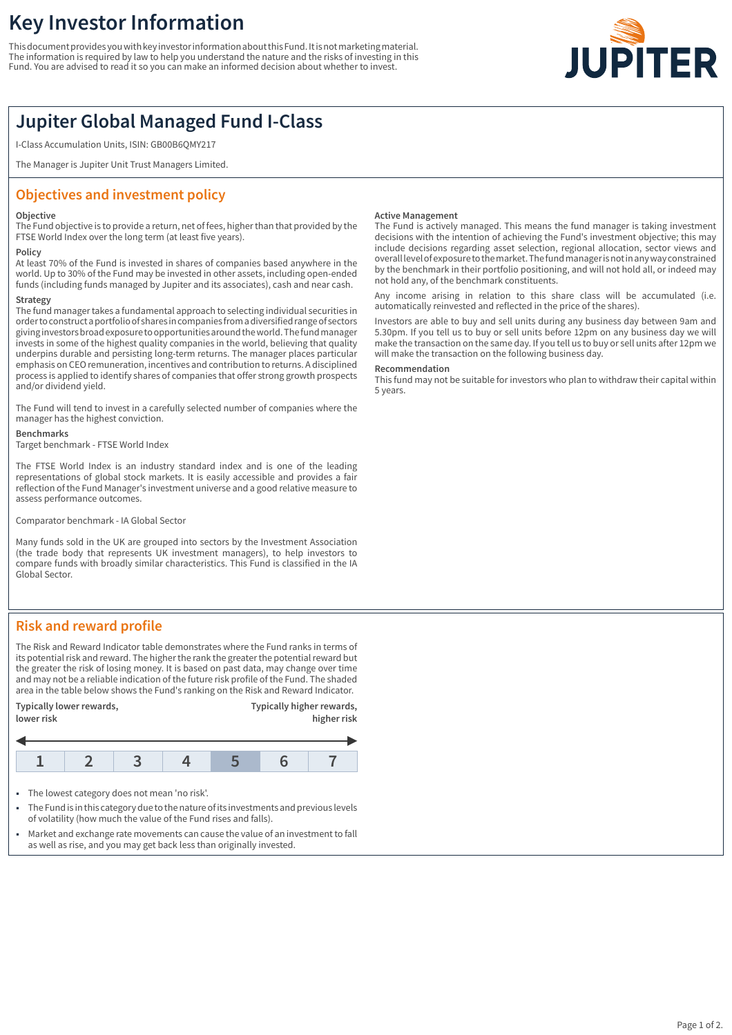# **Key Investor Information**

This document provides you with key investor information about this Fund. It is not marketing material. The information is required by law to help you understand the nature and the risks of investing in this Fund. You are advised to read it so you can make an informed decision about whether to invest.



## **Jupiter Global Managed Fund I-Class**

I-Class Accumulation Units, ISIN: GB00B6QMY217

The Manager is Jupiter Unit Trust Managers Limited.

### **Objectives and investment policy**

#### **Objective**

The Fund objective is to provide a return, net of fees, higher than that provided by the FTSE World Index over the long term (at least five years).

### **Policy**

At least 70% of the Fund is invested in shares of companies based anywhere in the world. Up to 30% of the Fund may be invested in other assets, including open-ended funds (including funds managed by Jupiter and its associates), cash and near cash.

### **Strategy**

The fund manager takes a fundamental approach to selecting individual securities in order to construct a portfolio of shares in companies from a diversified range of sectors giving investors broad exposure to opportunities around the world. The fund manager invests in some of the highest quality companies in the world, believing that quality underpins durable and persisting long-term returns. The manager places particular emphasis on CEO remuneration, incentives and contribution to returns. A disciplined process is applied to identify shares of companies that offer strong growth prospects and/or dividend yield.

The Fund will tend to invest in a carefully selected number of companies where the manager has the highest conviction.

#### **Benchmarks**

Target benchmark - FTSE World Index

The FTSE World Index is an industry standard index and is one of the leading representations of global stock markets. It is easily accessible and provides a fair reflection of the Fund Manager's investment universe and a good relative measure to assess performance outcomes.

Comparator benchmark - IA Global Sector

Many funds sold in the UK are grouped into sectors by the Investment Association (the trade body that represents UK investment managers), to help investors to compare funds with broadly similar characteristics. This Fund is classified in the IA Global Sector.

### **Risk and reward profile**

The Risk and Reward Indicator table demonstrates where the Fund ranks in terms of its potential risk and reward. The higher the rank the greater the potential reward but the greater the risk of losing money. It is based on past data, may change over time and may not be a reliable indication of the future risk profile of the Fund. The shaded area in the table below shows the Fund's ranking on the Risk and Reward Indicator.





- The lowest category does not mean 'no risk'.
- 1 The Fund is in this category due to the nature of its investments and previous levels of volatility (how much the value of the Fund rises and falls).
- Market and exchange rate movements can cause the value of an investment to fall as well as rise, and you may get back less than originally invested.

#### **Active Management**

The Fund is actively managed. This means the fund manager is taking investment decisions with the intention of achieving the Fund's investment objective; this may include decisions regarding asset selection, regional allocation, sector views and overall level of exposure to the market. The fund manager is not in any way constrained by the benchmark in their portfolio positioning, and will not hold all, or indeed may not hold any, of the benchmark constituents.

Any income arising in relation to this share class will be accumulated (i.e. automatically reinvested and reflected in the price of the shares).

Investors are able to buy and sell units during any business day between 9am and 5.30pm. If you tell us to buy or sell units before 12pm on any business day we will make the transaction on the same day. If you tell us to buy or sell units after 12pm we will make the transaction on the following business day.

#### **Recommendation**

This fund may not be suitable for investors who plan to withdraw their capital within 5 years.